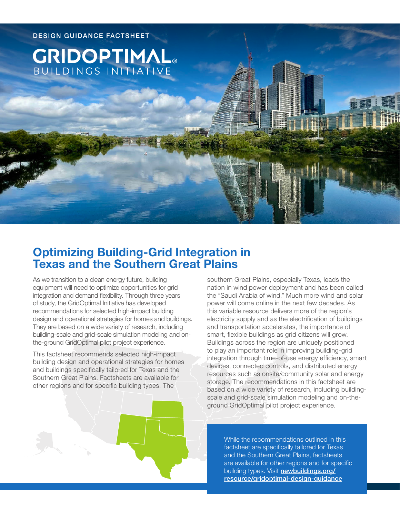

# **Optimizing Building-Grid Integration in Texas and the Southern Great Plains**

As we transition to a clean energy future, building equipment will need to optimize opportunities for grid integration and demand flexibility. Through three years of study, the GridOptimal Initiative has developed recommendations for selected high-impact building design and operational strategies for homes and buildings. They are based on a wide variety of research, including building-scale and grid-scale simulation modeling and onthe-ground GridOptimal pilot project experience.

This factsheet recommends selected high-impact building design and operational strategies for homes and buildings specifically tailored for Texas and the Southern Great Plains. Factsheets are available for other regions and for specific building types. The

southern Great Plains, especially Texas, leads the nation in wind power deployment and has been called the "Saudi Arabia of wind." Much more wind and solar power will come online in the next few decades. As this variable resource delivers more of the region's electricity supply and as the electrification of buildings and transportation accelerates, the importance of smart, flexible buildings as grid citizens will grow. Buildings across the region are uniquely positioned to play an important role in improving building-grid integration through time-of-use energy efficiency, smart devices, connected controls, and distributed energy resources such as onsite/community solar and energy storage. The recommendations in this factsheet are based on a wide variety of research, including buildingscale and grid-scale simulation modeling and on-theground GridOptimal pilot project experience.

> While the recommendations outlined in this factsheet are specifically tailored for Texas and the Southern Great Plains, factsheets are available for other regions and for specific building types. Visit [newbuildings.org/](https://newbuildings.org/resource/gridoptimal-design-guidance) [resource/gridoptimal-design-guidance](https://newbuildings.org/resource/gridoptimal-design-guidance)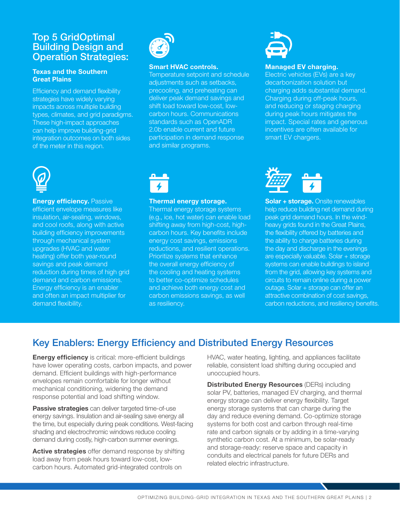### Top 5 GridOptimal Building Design and Operation Strategies:

#### **Texas and the Southern Great Plains**

Efficiency and demand flexibility strategies have widely varying impacts across multiple building types, climates, and grid paradigms. These high-impact approaches can help improve building-grid integration outcomes on both sides of the meter in this region.



#### **Smart HVAC controls.**

Temperature setpoint and schedule adjustments such as setbacks, precooling, and preheating can deliver peak demand savings and shift load toward low-cost, lowcarbon hours. Communications standards such as OpenADR 2.0b enable current and future participation in demand response and similar programs.



#### **Managed EV charging.**

Electric vehicles (EVs) are a key decarbonization solution but charging adds substantial demand. Charging during off-peak hours, and reducing or staging charging during peak hours mitigates the impact. Special rates and generous incentives are often available for smart EV chargers.



#### **Energy efficiency. Passive**

efficient envelope measures like insulation, air-sealing, windows, and cool roofs, along with active building efficiency improvements through mechanical system upgrades (HVAC and water heating) offer both year-round savings and peak demand reduction during times of high grid demand and carbon emissions. Energy efficiency is an enabler and often an impact multiplier for demand flexibility.



#### **Thermal energy storage.**

Thermal energy storage systems (e.g., ice, hot water) can enable load shifting away from high-cost, highcarbon hours. Key benefits include energy cost savings, emissions reductions, and resilient operations. Prioritize systems that enhance the overall energy efficiency of the cooling and heating systems to better co-optimize schedules and achieve both energy cost and carbon emissions savings, as well as resiliency.



**Solar + storage.** Onsite renewables help reduce building net demand during peak grid demand hours. In the windheavy grids found in the Great Plains, the flexibility offered by batteries and the ability to charge batteries during the day and discharge in the evenings are especially valuable. Solar + storage systems can enable buildings to island from the grid, allowing key systems and circuits to remain online during a power outage. Solar + storage can offer an attractive combination of cost savings, carbon reductions, and resiliency benefits.

## Key Enablers: Energy Efficiency and Distributed Energy Resources

**Energy efficiency** is critical: more-efficient buildings have lower operating costs, carbon impacts, and power demand. Efficient buildings with high-performance envelopes remain comfortable for longer without mechanical conditioning, widening the demand response potential and load shifting window.

**Passive strategies** can deliver targeted time-of-use energy savings. Insulation and air-sealing save energy all the time, but especially during peak conditions. West-facing shading and electrochromic windows reduce cooling demand during costly, high-carbon summer evenings.

**Active strategies** offer demand response by shifting load away from peak hours toward low-cost, lowcarbon hours. Automated grid-integrated controls on

HVAC, water heating, lighting, and appliances facilitate reliable, consistent load shifting during occupied and unoccupied hours.

**Distributed Energy Resources** (DERs) including solar PV, batteries, managed EV charging, and thermal energy storage can deliver energy flexibility. Target energy storage systems that can charge during the day and reduce evening demand. Co-optimize storage systems for both cost and carbon through real-time rate and carbon signals or by adding in a time-varying synthetic carbon cost. At a minimum, be solar-ready and storage-ready: reserve space and capacity in conduits and electrical panels for future DERs and related electric infrastructure.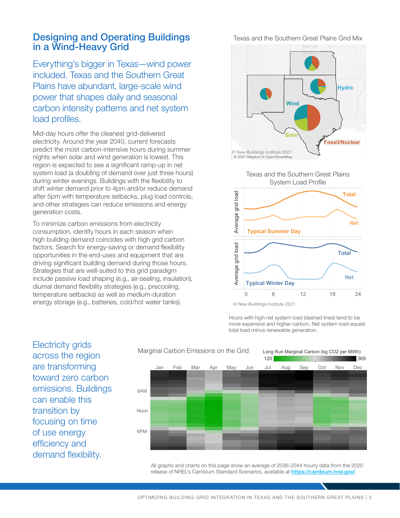### Designing and Operating Buildings in a Wind-Heavy Grid

Everything's bigger in Texas—wind power included. Texas and the Southern Great Plains have abundant, large-scale wind power that shapes daily and seasonal carbon intensity patterns and net system load profiles.

Mid-day hours offer the cleanest grid-delivered electricity. Around the year 2040, current forecasts predict the most carbon-intensive hours during summer nights when solar and wind generation is lowest. This region is expected to see a significant ramp-up in net system load (a doubling of demand over just three hours) during winter evenings. Buildings with the flexibility to shift winter demand prior to 4pm and/or reduce demand after 5pm with temperature setbacks, plug load controls, and other strategies can reduce emissions and energy generation costs.

To minimize carbon emissions from electricity consumption, identify hours in each season when high building demand coincides with high grid carbon factors. Search for energy-saving or demand flexibility opportunities in the end-uses and equipment that are driving significant building demand during those hours. Strategies that are well-suited to this grid paradigm include passive load shaping (e.g., air-sealing, insulation), diurnal demand flexibility strategies (e.g., precooling, temperature setbacks) as well as medium-duration energy storage (e.g., batteries, cold/hot water tanks).







© New Buildings Institute 2021

Hours with high net system load (dashed lines) tend to be more expensive and higher-carbon. Net system load equals total load minus renewable generation.

Electricity grids across the region are transforming toward zero carbon emissions. Buildings can enable this transition by focusing on time of use energy efficiency and demand flexibility.



All graphs and charts on this page show an average of 2036-2044 hourly data from the 2020 release of NREL's Cambium Standard Scenarios, available at <https://cambium.nrel.gov/>.